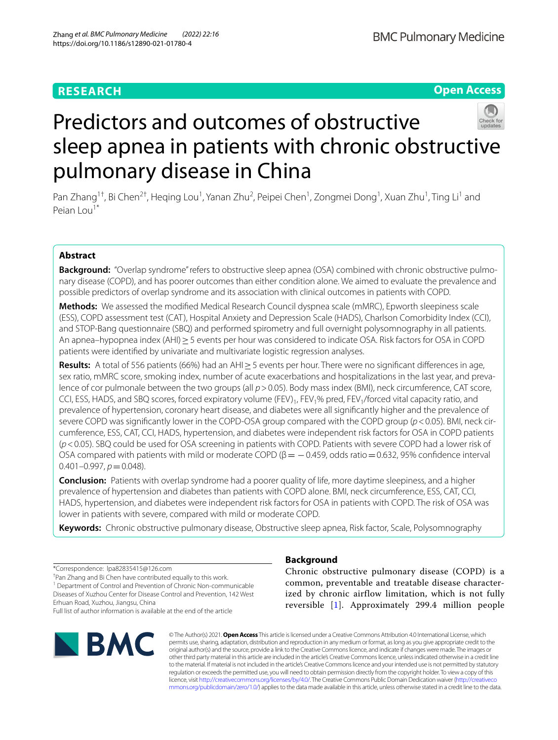# **RESEARCH**

**Open Access**



# Predictors and outcomes of obstructive sleep apnea in patients with chronic obstructive pulmonary disease in China

Pan Zhang<sup>1†</sup>, Bi Chen<sup>2†</sup>, Heqing Lou<sup>1</sup>, Yanan Zhu<sup>2</sup>, Peipei Chen<sup>1</sup>, Zongmei Dong<sup>1</sup>, Xuan Zhu<sup>1</sup>, Ting Li<sup>1</sup> and Peian Lou<sup>1\*</sup>

# **Abstract**

**Background:** "Overlap syndrome" refers to obstructive sleep apnea (OSA) combined with chronic obstructive pulmonary disease (COPD), and has poorer outcomes than either condition alone. We aimed to evaluate the prevalence and possible predictors of overlap syndrome and its association with clinical outcomes in patients with COPD.

**Methods:** We assessed the modifed Medical Research Council dyspnea scale (mMRC), Epworth sleepiness scale (ESS), COPD assessment test (CAT), Hospital Anxiety and Depression Scale (HADS), Charlson Comorbidity Index (CCI), and STOP-Bang questionnaire (SBQ) and performed spirometry and full overnight polysomnography in all patients. An apnea–hypopnea index (AHI)≥5 events per hour was considered to indicate OSA. Risk factors for OSA in COPD patients were identifed by univariate and multivariate logistic regression analyses.

**Results:** A total of 556 patients (66%) had an AHI≥5 events per hour. There were no signifcant diferences in age, sex ratio, mMRC score, smoking index, number of acute exacerbations and hospitalizations in the last year, and prevalence of cor pulmonale between the two groups (all  $p > 0.05$ ). Body mass index (BMI), neck circumference, CAT score, CCI, ESS, HADS, and SBQ scores, forced expiratory volume (FEV)<sub>1</sub>, FEV<sub>1</sub>% pred, FEV<sub>1</sub>/forced vital capacity ratio, and prevalence of hypertension, coronary heart disease, and diabetes were all signifcantly higher and the prevalence of severe COPD was signifcantly lower in the COPD-OSA group compared with the COPD group (*p*<0.05). BMI, neck circumference, ESS, CAT, CCI, HADS, hypertension, and diabetes were independent risk factors for OSA in COPD patients (*p*<0.05). SBQ could be used for OSA screening in patients with COPD. Patients with severe COPD had a lower risk of OSA compared with patients with mild or moderate COPD ( $\beta = -0.459$ , odds ratio=0.632, 95% confidence interval  $0.401 - 0.997$ ,  $p = 0.048$ ).

**Conclusion:** Patients with overlap syndrome had a poorer quality of life, more daytime sleepiness, and a higher prevalence of hypertension and diabetes than patients with COPD alone. BMI, neck circumference, ESS, CAT, CCI, HADS, hypertension, and diabetes were independent risk factors for OSA in patients with COPD. The risk of OSA was lower in patients with severe, compared with mild or moderate COPD.

**Keywords:** Chronic obstructive pulmonary disease, Obstructive sleep apnea, Risk factor, Scale, Polysomnography

\*Correspondence: lpa82835415@126.com † Pan Zhang and Bi Chen have contributed equally to this work. <sup>1</sup> Department of Control and Prevention of Chronic Non-communicable Diseases of Xuzhou Center for Disease Control and Prevention, 142 West Erhuan Road, Xuzhou, Jiangsu, China

Full list of author information is available at the end of the article



# **Background**

Chronic obstructive pulmonary disease (COPD) is a common, preventable and treatable disease characterized by chronic airflow limitation, which is not fully reversible [\[1](#page-9-0)]. Approximately 299.4 million people

© The Author(s) 2021. **Open Access** This article is licensed under a Creative Commons Attribution 4.0 International License, which permits use, sharing, adaptation, distribution and reproduction in any medium or format, as long as you give appropriate credit to the original author(s) and the source, provide a link to the Creative Commons licence, and indicate if changes were made. The images or other third party material in this article are included in the article's Creative Commons licence, unless indicated otherwise in a credit line to the material. If material is not included in the article's Creative Commons licence and your intended use is not permitted by statutory regulation or exceeds the permitted use, you will need to obtain permission directly from the copyright holder. To view a copy of this licence, visit [http://creativecommons.org/licenses/by/4.0/.](http://creativecommons.org/licenses/by/4.0/) The Creative Commons Public Domain Dedication waiver ([http://creativeco](http://creativecommons.org/publicdomain/zero/1.0/) [mmons.org/publicdomain/zero/1.0/](http://creativecommons.org/publicdomain/zero/1.0/)) applies to the data made available in this article, unless otherwise stated in a credit line to the data.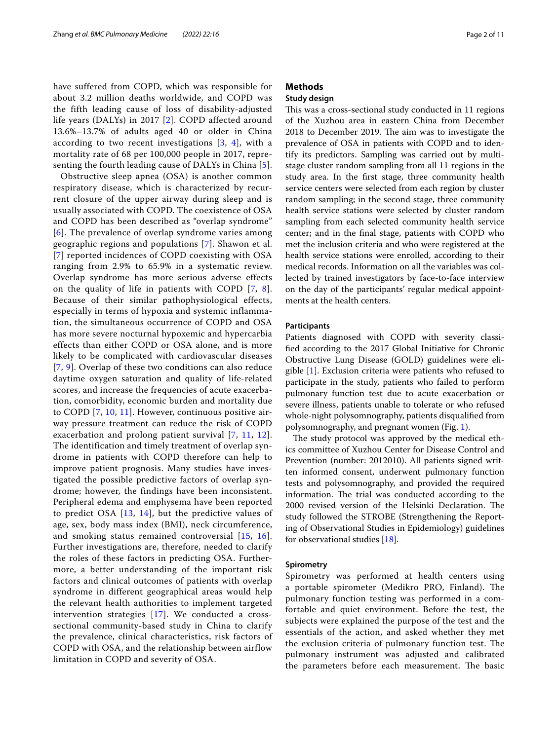have suffered from COPD, which was responsible for about 3.2 million deaths worldwide, and COPD was the fifth leading cause of loss of disability-adjusted life years (DALYs) in 2017 [[2](#page-9-1)]. COPD affected around 13.6%–13.7% of adults aged 40 or older in China according to two recent investigations  $[3, 4]$  $[3, 4]$  $[3, 4]$  $[3, 4]$  $[3, 4]$ , with a mortality rate of 68 per 100,000 people in 2017, representing the fourth leading cause of DALYs in China [[5\]](#page-10-1).

Obstructive sleep apnea (OSA) is another common respiratory disease, which is characterized by recurrent closure of the upper airway during sleep and is usually associated with COPD. The coexistence of OSA and COPD has been described as "overlap syndrome" [[6](#page-10-2)]. The prevalence of overlap syndrome varies among geographic regions and populations [\[7](#page-10-3)]. Shawon et al. [[7](#page-10-3)] reported incidences of COPD coexisting with OSA ranging from 2.9% to 65.9% in a systematic review. Overlap syndrome has more serious adverse effects on the quality of life in patients with COPD [[7,](#page-10-3) [8\]](#page-10-4). Because of their similar pathophysiological effects, especially in terms of hypoxia and systemic inflammation, the simultaneous occurrence of COPD and OSA has more severe nocturnal hypoxemic and hypercarbia effects than either COPD or OSA alone, and is more likely to be complicated with cardiovascular diseases [[7](#page-10-3), [9\]](#page-10-5). Overlap of these two conditions can also reduce daytime oxygen saturation and quality of life-related scores, and increase the frequencies of acute exacerbation, comorbidity, economic burden and mortality due to COPD [\[7](#page-10-3), [10,](#page-10-6) [11](#page-10-7)]. However, continuous positive airway pressure treatment can reduce the risk of COPD exacerbation and prolong patient survival [[7,](#page-10-3) [11](#page-10-7), [12\]](#page-10-8). The identification and timely treatment of overlap syndrome in patients with COPD therefore can help to improve patient prognosis. Many studies have investigated the possible predictive factors of overlap syndrome; however, the findings have been inconsistent. Peripheral edema and emphysema have been reported to predict OSA  $[13, 14]$  $[13, 14]$  $[13, 14]$  $[13, 14]$ , but the predictive values of age, sex, body mass index (BMI), neck circumference, and smoking status remained controversial [\[15](#page-10-11), [16\]](#page-10-12). Further investigations are, therefore, needed to clarify the roles of these factors in predicting OSA. Furthermore, a better understanding of the important risk factors and clinical outcomes of patients with overlap syndrome in different geographical areas would help the relevant health authorities to implement targeted intervention strategies [[17](#page-10-13)]. We conducted a crosssectional community-based study in China to clarify the prevalence, clinical characteristics, risk factors of COPD with OSA, and the relationship between airflow limitation in COPD and severity of OSA.

# **Methods**

# **Study design**

This was a cross-sectional study conducted in 11 regions of the Xuzhou area in eastern China from December 2018 to December 2019. The aim was to investigate the prevalence of OSA in patients with COPD and to identify its predictors. Sampling was carried out by multistage cluster random sampling from all 11 regions in the study area. In the frst stage, three community health service centers were selected from each region by cluster random sampling; in the second stage, three community health service stations were selected by cluster random sampling from each selected community health service center; and in the fnal stage, patients with COPD who met the inclusion criteria and who were registered at the health service stations were enrolled, according to their medical records. Information on all the variables was collected by trained investigators by face-to-face interview on the day of the participants' regular medical appointments at the health centers.

## <span id="page-1-0"></span>**Participants**

Patients diagnosed with COPD with severity classifed according to the 2017 Global Initiative for Chronic Obstructive Lung Disease (GOLD) guidelines were eligible [\[1](#page-9-0)]. Exclusion criteria were patients who refused to participate in the study, patients who failed to perform pulmonary function test due to acute exacerbation or severe illness, patients unable to tolerate or who refused whole-night polysomnography, patients disqualifed from polysomnography, and pregnant women (Fig. [1\)](#page-2-0).

The study protocol was approved by the medical ethics committee of Xuzhou Center for Disease Control and Prevention (number: 2012010). All patients signed written informed consent, underwent pulmonary function tests and polysomnography, and provided the required information. The trial was conducted according to the 2000 revised version of the Helsinki Declaration. The study followed the STROBE (Strengthening the Reporting of Observational Studies in Epidemiology) guidelines for observational studies [\[18](#page-10-14)].

#### **Spirometry**

Spirometry was performed at health centers using a portable spirometer (Medikro PRO, Finland). The pulmonary function testing was performed in a comfortable and quiet environment. Before the test, the subjects were explained the purpose of the test and the essentials of the action, and asked whether they met the exclusion criteria of pulmonary function test. The pulmonary instrument was adjusted and calibrated the parameters before each measurement. The basic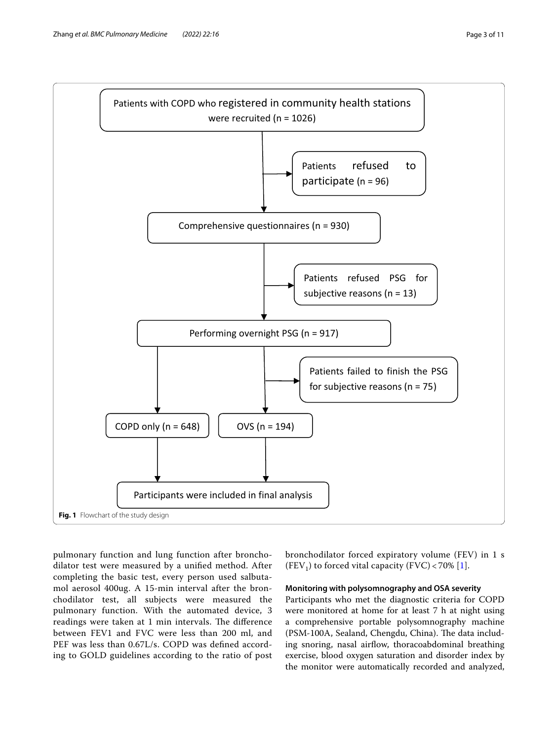

<span id="page-2-0"></span>pulmonary function and lung function after bronchodilator test were measured by a unifed method. After completing the basic test, every person used salbutamol aerosol 400ug. A 15-min interval after the bronchodilator test, all subjects were measured the pulmonary function. With the automated device, 3 readings were taken at 1 min intervals. The difference between FEV1 and FVC were less than 200 ml, and PEF was less than 0.67L/s. COPD was defned according to GOLD guidelines according to the ratio of post

bronchodilator forced expiratory volume (FEV) in 1 s (FEV<sub>1</sub>) to forced vital capacity (FVC) < 70% [[1\]](#page-9-0).

#### **Monitoring with polysomnography and OSA severity**

Participants who met the diagnostic criteria for COPD were monitored at home for at least 7 h at night using a comprehensive portable polysomnography machine (PSM-100A, Sealand, Chengdu, China). The data including snoring, nasal airflow, thoracoabdominal breathing exercise, blood oxygen saturation and disorder index by the monitor were automatically recorded and analyzed,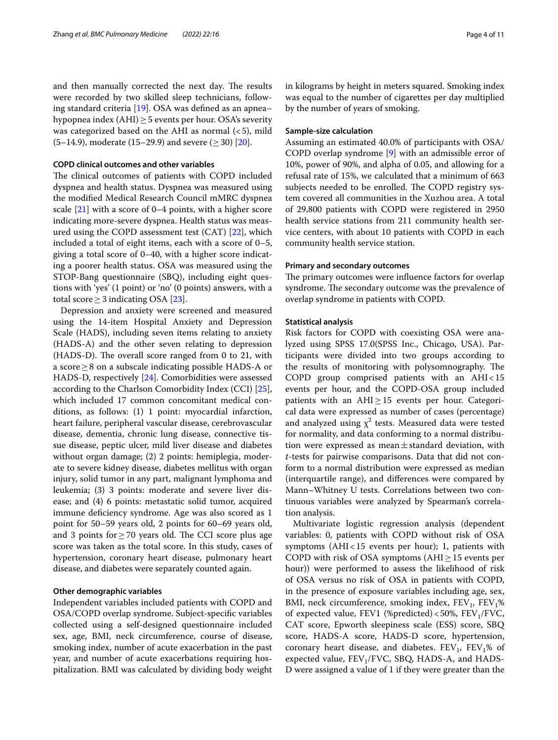and then manually corrected the next day. The results were recorded by two skilled sleep technicians, following standard criteria [[19\]](#page-10-15). OSA was defned as an apnea– hypopnea index (AHI) $\geq$  5 events per hour. OSA's severity was categorized based on the AHI as normal  $(<5)$ , mild  $(5-14.9)$ , moderate (15–29.9) and severe ( $\geq$  30) [\[20\]](#page-10-16).

#### **COPD clinical outcomes and other variables**

The clinical outcomes of patients with COPD included dyspnea and health status. Dyspnea was measured using the modifed Medical Research Council mMRC dyspnea scale [[21](#page-10-17)] with a score of 0–4 points, with a higher score indicating more-severe dyspnea. Health status was measured using the COPD assessment test (CAT) [[22\]](#page-10-18), which included a total of eight items, each with a score of 0–5, giving a total score of 0–40, with a higher score indicating a poorer health status. OSA was measured using the STOP-Bang questionnaire (SBQ), including eight questions with 'yes' (1 point) or 'no' (0 points) answers, with a total score  $≥$  3 indicating OSA [[23\]](#page-10-19).

Depression and anxiety were screened and measured using the 14-item Hospital Anxiety and Depression Scale (HADS), including seven items relating to anxiety (HADS-A) and the other seven relating to depression  $(HADS-D)$ . The overall score ranged from 0 to 21, with a score≥8 on a subscale indicating possible HADS-A or HADS-D, respectively [\[24\]](#page-10-20). Comorbidities were assessed according to the Charlson Comorbidity Index (CCI) [\[25](#page-10-21)], which included 17 common concomitant medical conditions, as follows: (1) 1 point: myocardial infarction, heart failure, peripheral vascular disease, cerebrovascular disease, dementia, chronic lung disease, connective tissue disease, peptic ulcer, mild liver disease and diabetes without organ damage; (2) 2 points: hemiplegia, moderate to severe kidney disease, diabetes mellitus with organ injury, solid tumor in any part, malignant lymphoma and leukemia; (3) 3 points: moderate and severe liver disease; and (4) 6 points: metastatic solid tumor, acquired immune deficiency syndrome. Age was also scored as 1 point for 50–59 years old, 2 points for 60–69 years old, and 3 points for  $\geq$  70 years old. The CCI score plus age score was taken as the total score. In this study, cases of hypertension, coronary heart disease, pulmonary heart disease, and diabetes were separately counted again.

#### **Other demographic variables**

Independent variables included patients with COPD and OSA/COPD overlap syndrome. Subject-specifc variables collected using a self-designed questionnaire included sex, age, BMI, neck circumference, course of disease, smoking index, number of acute exacerbation in the past year, and number of acute exacerbations requiring hospitalization. BMI was calculated by dividing body weight in kilograms by height in meters squared. Smoking index was equal to the number of cigarettes per day multiplied by the number of years of smoking.

# **Sample‑size calculation**

Assuming an estimated 40.0% of participants with OSA/ COPD overlap syndrome [\[9](#page-10-5)] with an admissible error of 10%, power of 90%, and alpha of 0.05, and allowing for a refusal rate of 15%, we calculated that a minimum of 663 subjects needed to be enrolled. The COPD registry system covered all communities in the Xuzhou area. A total of 29,800 patients with COPD were registered in 2950 health service stations from 211 community health service centers, with about 10 patients with COPD in each community health service station.

#### **Primary and secondary outcomes**

The primary outcomes were influence factors for overlap syndrome. The secondary outcome was the prevalence of overlap syndrome in patients with COPD.

#### **Statistical analysis**

Risk factors for COPD with coexisting OSA were analyzed using SPSS 17.0(SPSS Inc., Chicago, USA). Participants were divided into two groups according to the results of monitoring with polysomnography. The COPD group comprised patients with an AHI<15 events per hour, and the COPD-OSA group included patients with an  $AHI \geq 15$  events per hour. Categorical data were expressed as number of cases (percentage) and analyzed using  $\chi^2$  tests. Measured data were tested for normality, and data conforming to a normal distribution were expressed as mean $\pm$ standard deviation, with *t*-tests for pairwise comparisons. Data that did not conform to a normal distribution were expressed as median (interquartile range), and diferences were compared by Mann–Whitney U tests. Correlations between two continuous variables were analyzed by Spearman's correlation analysis.

Multivariate logistic regression analysis (dependent variables: 0, patients with COPD without risk of OSA symptoms  $(AHI < 15$  events per hour); 1, patients with COPD with risk of OSA symptoms ( $AHI \geq 15$  events per hour)) were performed to assess the likelihood of risk of OSA versus no risk of OSA in patients with COPD, in the presence of exposure variables including age, sex, BMI, neck circumference, smoking index,  $FEV_1$ ,  $FEV_1$ % of expected value, FEV1 (%predicted) <50%, FEV<sub>1</sub>/FVC, CAT score, Epworth sleepiness scale (ESS) score, SBQ score, HADS-A score, HADS-D score, hypertension, coronary heart disease, and diabetes.  $FEV<sub>1</sub>$ ,  $FEV<sub>1</sub>%$  of expected value,  $FEV<sub>1</sub>/FVC$ , SBQ, HADS-A, and HADS-D were assigned a value of 1 if they were greater than the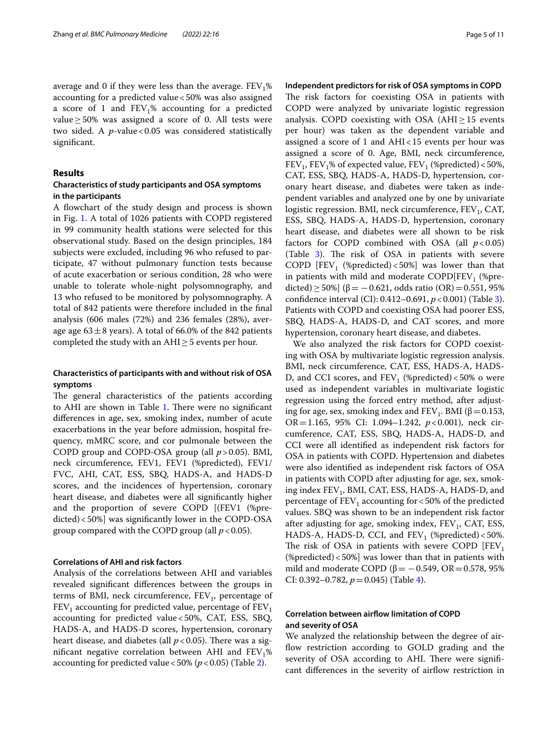average and 0 if they were less than the average.  $FEV<sub>1</sub>%$ accounting for a predicted value<50% was also assigned a score of 1 and  $FEV<sub>1</sub>%$  accounting for a predicted value  $≥$  50% was assigned a score of 0. All tests were two sided. A *p*-value < 0.05 was considered statistically signifcant.

## **Results**

# **Characteristics of study participants and OSA symptoms in the participants**

A fowchart of the study design and process is shown in Fig. [1.](#page-2-0) A total of 1026 patients with COPD registered in 99 community health stations were selected for this observational study. Based on the design principles, 184 subjects were excluded, including 96 who refused to participate, 47 without pulmonary function tests because of acute exacerbation or serious condition, 28 who were unable to tolerate whole-night polysomnography, and 13 who refused to be monitored by polysomnography. A total of 842 patients were therefore included in the fnal analysis (606 males (72%) and 236 females (28%), average age  $63\pm8$  years). A total of 66.0% of the 842 patients completed the study with an  $AHI \geq 5$  events per hour.

# **Characteristics of participants with and without risk of OSA symptoms**

The general characteristics of the patients according to AHI are shown in Table [1](#page-5-0). There were no significant diferences in age, sex, smoking index, number of acute exacerbations in the year before admission, hospital frequency, mMRC score, and cor pulmonale between the COPD group and COPD-OSA group (all *p*>0.05). BMI, neck circumference, FEV1, FEV1 (%predicted), FEV1/ FVC, AHI, CAT, ESS, SBQ, HADS-A, and HADS-D scores, and the incidences of hypertension, coronary heart disease, and diabetes were all signifcantly higher and the proportion of severe COPD [(FEV1 (%predicted)<50%] was signifcantly lower in the COPD-OSA group compared with the COPD group (all  $p < 0.05$ ).

#### **Correlations of AHI and risk factors**

Analysis of the correlations between AHI and variables revealed signifcant diferences between the groups in terms of BMI, neck circumference,  $FEV<sub>1</sub>$ , percentage of  $FEV<sub>1</sub>$  accounting for predicted value, percentage of  $FEV<sub>1</sub>$ accounting for predicted value<50%, CAT, ESS, SBQ, HADS-A, and HADS-D scores, hypertension, coronary heart disease, and diabetes (all  $p < 0.05$ ). There was a significant negative correlation between AHI and  $FEV<sub>1</sub>%$ accounting for predicted value <50% ( $p$  < 0.05) (Table [2](#page-6-0)).

#### **Independent predictors for risk of OSA symptoms in COPD**

The risk factors for coexisting OSA in patients with COPD were analyzed by univariate logistic regression analysis. COPD coexisting with OSA (AHI≥15 events per hour) was taken as the dependent variable and assigned a score of 1 and AHI<15 events per hour was assigned a score of 0. Age, BMI, neck circumference,  $FEV<sub>1</sub>$ ,  $FEV<sub>1</sub>%$  of expected value,  $FEV<sub>1</sub>$  (%predicted) <50%, CAT, ESS, SBQ, HADS-A, HADS-D, hypertension, coronary heart disease, and diabetes were taken as independent variables and analyzed one by one by univariate logistic regression. BMI, neck circumference,  $FEV<sub>1</sub>$ , CAT, ESS, SBQ, HADS-A, HADS-D, hypertension, coronary heart disease, and diabetes were all shown to be risk factors for COPD combined with OSA (all  $p < 0.05$ ) (Table [3](#page-7-0)). The risk of OSA in patients with severe COPD [FEV<sub>1</sub> (%predicted) < 50%] was lower than that in patients with mild and moderate COPD $[FEV<sub>1</sub>$  (%predicted) ≥ 50%] (β = −0.621, odds ratio (OR) = 0.551, 95% confdence interval (CI): 0.412–0.691, *p*<0.001) (Table [3](#page-7-0)). Patients with COPD and coexisting OSA had poorer ESS, SBQ, HADS-A, HADS-D, and CAT scores, and more hypertension, coronary heart disease, and diabetes.

We also analyzed the risk factors for COPD coexisting with OSA by multivariate logistic regression analysis. BMI, neck circumference, CAT, ESS, HADS-A, HADS-D, and CCI scores, and  $FEV_1$  (%predicted) <50% o were used as independent variables in multivariate logistic regression using the forced entry method, after adjusting for age, sex, smoking index and  $FEV_1$ . BMI ( $\beta$  = 0.153, OR=1.165, 95% CI: 1.094–1.242, *p*<0.001), neck circumference, CAT, ESS, SBQ, HADS-A, HADS-D, and CCI were all identifed as independent risk factors for OSA in patients with COPD. Hypertension and diabetes were also identifed as independent risk factors of OSA in patients with COPD after adjusting for age, sex, smoking index FEV<sub>1</sub>, BMI, CAT, ESS, HADS-A, HADS-D, and percentage of  $FEV_1$  accounting for <50% of the predicted values. SBQ was shown to be an independent risk factor after adjusting for age, smoking index,  $FEV<sub>1</sub>$ , CAT, ESS, HADS-A, HADS-D, CCI, and  $FEV_1$  (%predicted) <50%. The risk of OSA in patients with severe COPD  $[FEV<sub>1</sub>]$ (%predicted)<50%] was lower than that in patients with mild and moderate COPD ( $\beta$  =  $-$ 0.549, OR = 0.578, 95% CI: 0.392–0.782, *p*=0.045) (Table [4](#page-7-1)).

# **Correlation between airfow limitation of COPD and severity of OSA**

We analyzed the relationship between the degree of airflow restriction according to GOLD grading and the severity of OSA according to AHI. There were significant diferences in the severity of airfow restriction in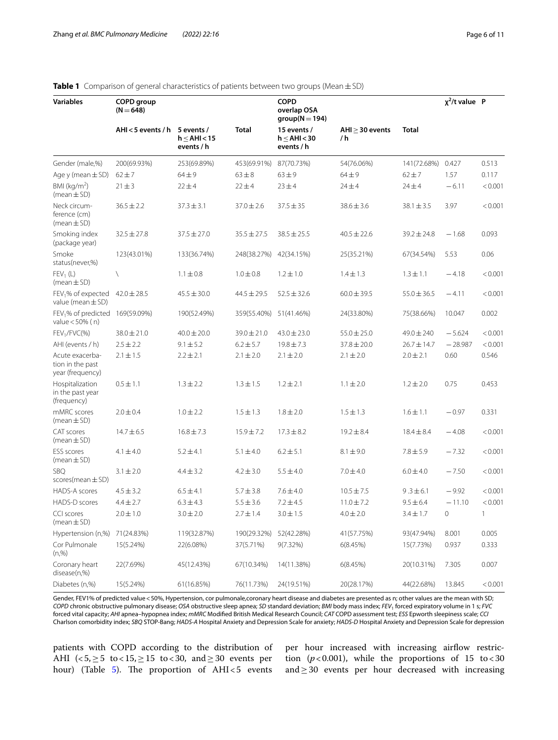#### **Variables COPD group (N**=**648) COPD overlap OSA group(N**=**194) χ2 /t value P AHI<5 events / h 5 events / h**≤**AHI<15 events / h Total 15 events / h**≤**AHI<30 events / h AHI**≥**30 events / h Total** Gender (male,%) 200(69.93%) 253(69.89%) 453(69.91%) 87(70.73%) 54(76.06%) 141(72.68%) 0.427 0.513 Age y (mean±SD) 62±7 64±9 63±8 63±9 64±9 62±7 1.57 0.117 BMI (kg/m<sup>2</sup>)  $(mean ± SD)$ 21±3 22±4 22±4 23±4 24±4 24±4 −6.11 <0.001 Neck circumference (cm)  $(m<sub>pan</sub> + SD)$ 36.5±2.2 37.3±3.1 37.0±2.6 37.5±35 38.6±3.6 38.1±3.5 3.97 <0.001 Smoking index (package year) 32.5±27.8 37.5±27.0 35.5±27.5 38.5±25.5 40.5±22.6 39.2±24.8 −1.68 0.093 Smoke status(never,%) 123(43.01%) 133(36.74%) 248(38.27%) 42(34.15%) 25(35.21%) 67(34.54%) 5.53 0.06  $FEV<sub>1</sub>$  (L) (mean  $\pm$  SD) \ 1.1±0.8 1.0±0.8 1.2±1.0 1.4±1.3 1.3±1.1 −4.18 <0.001 FEV<sub>1</sub>% of expected value (mean  $\pm$  SD) 42.0±28.5 45.5±30.0 44.5±29.5 52.5±32.6 60.0±39.5 55.0±36.5 −4.11 <0.001 FEV<sub>1</sub>% of predicted 169(59.09%) value<50% ( n) 169(59.09%) 190(52.49%) 359(55.40%) 51(41.46%) 24(33.80%) 75(38.66%) 10.047 0.002 FEV<sub>1</sub>/FVC(%) 38.0±21.0 40.0±20.0 39.0±21.0 43.0±23.0 55.0±25.0 49.0±240 −5.624 <0.001 AHI (events / h) 2.5±2.2 9.1±5.2 6.2±5.7 19.8±7.3 37.8±20.0 26.7±14.7 −28.987 <0.001 Acute exacerbation in the past year (frequency) 2.1 $\pm$ 1.5 2.2 $\pm$ 2.1 2.1 $\pm$ 2.0 2.1 $\pm$ 2.0 2.1 $\pm$ 2.0 2.0 $\pm$ 2.1 0.60 0.546 Hospitalization in the past year (frequency) 0.5±1.1 1.3±2.2 1.3±1.5 1.2±2.1 1.1±2.0 1.2±2.0 0.75 0.453 mMRC scores (mean±SD) 2.0±0.4 1.0±2.2 1.5±1.3 1.8±2.0 1.5±1.3 1.6±1.1 −0.97 0.331 CAT scores  $(mean \pm SD)$ 14.7±6.5 16.8±7.3 15.9±7.2 17.3±8.2 19.2±8.4 18.4±8.4 −4.08 <0.001 ESS scores  $(mean \pm SD)$ 4.1±4.0 5.2±4.1 5.1±4.0 6.2±5.1 8.1±9.0 7.8±5.9 −7.32 <0.001 SBQ scores(mean±SD) 3.1±2.0 4.4±3.2 4.2±3.0 5.5±4.0 7.0±4.0 6.0±4.0 −7.50 <0.001 HADS-A scores 4.5±3.2 6.5±4.1 5.7±3.8 7.6±4.0 10.5±7.5 9 .3±6.1 −9.92 <0.001 HADS-D scores 4.4±2.7 6.3±4.3 5.5±3.6 7.2±4.5 11.0±7.2 9.5±6.4 −11.10 <0.001 CCI scores  $(mean ± SD)$  $2.0 \pm 1.0$   $3.0 \pm 2.0$   $2.7 \pm 1.4$   $3.0 \pm 1.5$   $4.0 \pm 2.0$   $3.4 \pm 1.7$  0 1 Hypertension (n,%) 71(24.83%) 119(32.87%) 190(29.32%) 52(42.28%) 41(57.75%) 93(47.94%) 8.001 0.005 Cor Pulmonale  $(n.% )$ 15(5.24%) 22(6.08%) 37(5.71%) 9(7.32%) 6(8.45%) 15(7.73%) 0.937 0.333 Coronary heart disease(n,%) 22(7.69%) 45(12.43%) 67(10.34%) 14(11.38%) 6(8.45%) 20(10.31%) 7.305 0.007

## <span id="page-5-0"></span>**Table 1** Comparison of general characteristics of patients between two groups (Mean±SD)

Gender, FEV1% of predicted value < 50%, Hypertension, cor pulmonale,coronary heart disease and diabetes are presented as n; other values are the mean with SD; *COPD* chronic obstructive pulmonary disease; *OSA* obstructive sleep apnea; *SD* standard deviation; *BMI* body mass index; *FEV*1 forced expiratory volume in 1 s; *FVC* forced vital capacity; *AHI* apnea–hypopnea index; *mMRC* Modifed British Medical Research Council; *CAT* COPD assessment test; *ESS* Epworth sleepiness scale; *CCI* Charlson comorbidity index; *SBQ* STOP-Bang; *HADS-A* Hospital Anxiety and Depression Scale for anxiety; *HADS-D* Hospital Anxiety and Depression Scale for depression

Diabetes (n,%) 15(5.24%) 61(16.85%) 76(11.73%) 24(19.51%) 20(28.17%) 44(22.68%) 13.845 <0.001

patients with COPD according to the distribution of AHI  $\langle 5, \geq 5 \text{ to } 15, \geq 15 \text{ to } 30, \text{ and } \geq 30 \text{ events per}$ hour) (Table  $5$ ). The proportion of AHI $<$ 5 events

per hour increased with increasing airflow restriction  $(p<0.001)$ , while the proportions of 15 to <30 and≥30 events per hour decreased with increasing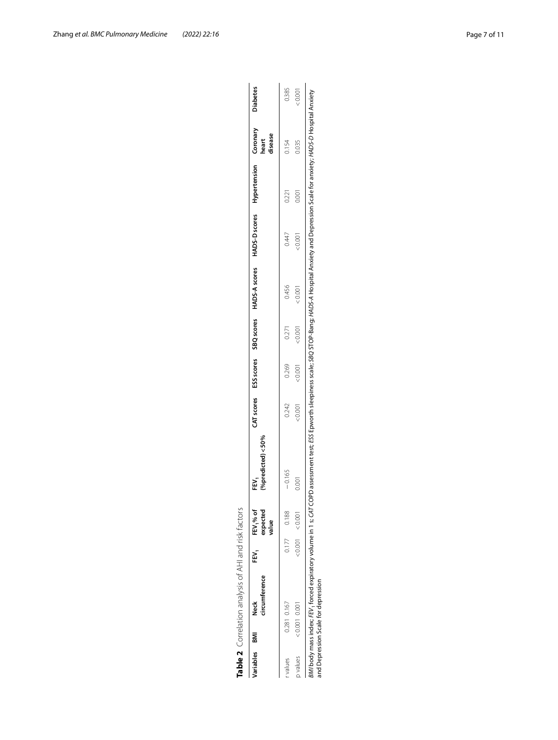<span id="page-6-0"></span>

| l<br>I                 |
|------------------------|
|                        |
| i                      |
| S                      |
| <br> <br>              |
|                        |
|                        |
|                        |
|                        |
|                        |
|                        |
|                        |
| $\ddot{\epsilon}$<br>١ |
|                        |
|                        |
|                        |
| ١                      |
|                        |
|                        |
|                        |
|                        |
|                        |
|                        |
|                        |
|                        |
|                        |
|                        |
| :                      |
|                        |
|                        |
| $-10.4$                |
|                        |
| ١                      |
| ι                      |
|                        |
|                        |
| ı                      |
|                        |
|                        |
|                        |
|                        |
|                        |

|          | Variables BM | circumference<br>Neck               | EN.<br>E | FEV <sub>1</sub> % of<br>expected<br>value | %predicted) $<$ 50%<br>Ę                                                                                                                                                                                            |        |       |         |        | CAT scores ESS scores SBQ scores HADS-A scores HADS-D scores Hypertension Coronary |       | disease<br>heart | <b>Diabetes</b> |
|----------|--------------|-------------------------------------|----------|--------------------------------------------|---------------------------------------------------------------------------------------------------------------------------------------------------------------------------------------------------------------------|--------|-------|---------|--------|------------------------------------------------------------------------------------|-------|------------------|-----------------|
| values   |              | 0.281 0.167                         | 0.177    | 0.188                                      | $-0.165$                                                                                                                                                                                                            | 0.242  | 0.269 | 0.271   | 0.456  | 0.447                                                                              | 0.221 | 0.154            | 0.385           |
| p values |              | $0.001$ 0.001                       |          | $: 0.001$ < 0.001                          | 0.001                                                                                                                                                                                                               | &0.001 | 0.001 | < 0.001 | &0.001 | < 0.001                                                                            | 0.001 | 0.035            | 20001           |
|          |              | and Depression Scale for depression |          |                                            | /Ml body mass index; FEV, forced expiratory volume in 1 s; CAT COPD assessment test; ESS Epworth sleepiness scale; SBQ STOP-Bang; HADS-A Hospital Anxiety and Depression Scale for anxiety; HADS-D Hospital Anxiety |        |       |         |        |                                                                                    |       |                  |                 |

*BMI* body mass index; FEV, forced expiratory volume in 1 s; CAT COPD assessment test; ESS Epworth sleepiness scale; SBQ STOP-Bang; HADS-A Hospital Anxiety and Depression Scale for anxiety; HADS-D Hospital Anxiety<br>and Depr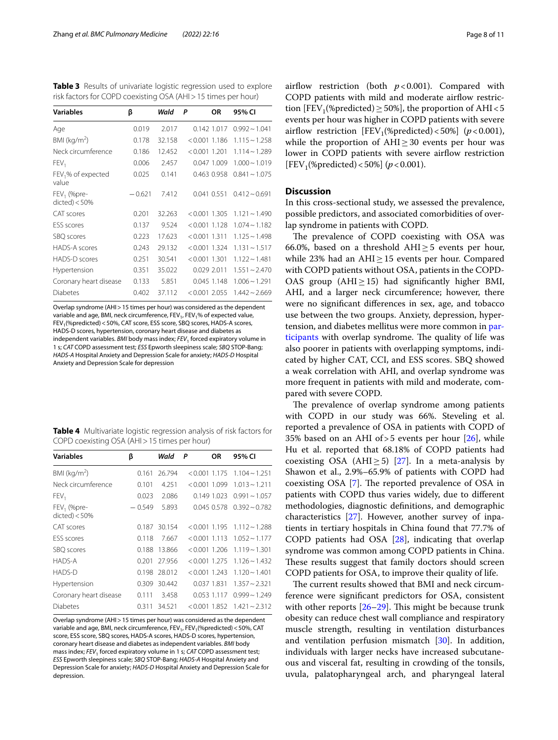<span id="page-7-0"></span>**Table 3** Results of univariate logistic regression used to explore risk factors for COPD coexisting OSA (AHI>15 times per hour)

| <b>Variables</b>                  | β        | Wald   | P<br>ΟR         | 95% CI             |
|-----------------------------------|----------|--------|-----------------|--------------------|
| Age                               | 0.019    | 2.017  | 0.142 1.017     | $0.992 \sim 1.041$ |
| BMI ( $kg/m2$ )                   | 0.178    | 32.158 | $< 0.001$ 1.186 | $1.115 - 1.258$    |
| Neck circumference                | 0.186    | 12.452 | $< 0.001$ 1.201 | $1.114 \sim 1.289$ |
| FEV <sub>1</sub>                  | 0.006    | 2.457  | 0.047 1.009     | $1.000 - 1.019$    |
| $FEV1$ % of expected<br>value     | 0.025    | 0.141  | 0.463 0.958     | $0.841 \sim 1.075$ |
| $FEV1$ (%pre-<br>$dicted$ ) < 50% | $-0.621$ | 7.412  | 0.041 0.551     | $0.412 \sim 0.691$ |
| CAT scores                        | 0.201    | 32.263 | $< 0.001$ 1.305 | $1.121 - 1.490$    |
| <b>FSS</b> scores                 | 0.137    | 9.524  | $< 0.001$ 1.128 | $1.074 \sim 1.182$ |
| SBQ scores                        | 0.223    | 17.623 | $< 0.001$ 1.311 | $1.125 \sim 1.498$ |
| HADS-A scores                     | 0.243    | 29.132 | $< 0.001$ 1.324 | $1.131 \sim 1.517$ |
| HADS-D scores                     | 0.251    | 30.541 | $< 0.001$ 1.301 | $1.122 \sim 1.481$ |
| Hypertension                      | 0.351    | 35.022 | 0.029 2.011     | $1.551 - 2.470$    |
| Coronary heart disease            | 0.133    | 5.851  | 0.045 1.148     | $1.006 - 1.291$    |
| <b>Diabetes</b>                   | 0.402    | 37.112 | $< 0.001$ 2.055 | $1.442 \sim 2.669$ |

Overlap syndrome (AHI>15 times per hour) was considered as the dependent variable and age, BMI, neck circumference,  $FEV<sub>1</sub>$ ,  $FEV<sub>1</sub>%$  of expected value, FEV<sub>1</sub>(%predicted) < 50%, CAT score, ESS score, SBQ scores, HADS-A scores, HADS-D scores, hypertension, coronary heart disease and diabetes as independent variables. *BMI* body mass index; *FEV*1 forced expiratory volume in 1 s; *CAT* COPD assessment test; *ESS* Epworth sleepiness scale; *SBQ* STOP-Bang; *HADS-A* Hospital Anxiety and Depression Scale for anxiety; *HADS-D* Hospital Anxiety and Depression Scale for depression

<span id="page-7-1"></span>

| <b>Table 4</b> Multivariate logistic regression analysis of risk factors for |  |  |  |
|------------------------------------------------------------------------------|--|--|--|
| COPD coexisting OSA (AHI > 15 times per hour)                                |  |  |  |

| <b>Variables</b>                  | β        | Wald   | ΟR<br>P                            | 95% CI                |
|-----------------------------------|----------|--------|------------------------------------|-----------------------|
| BMI ( $kg/m2$ )                   | 0.161    | 26.794 | $< 0.001$ 1.175 1.104 $\sim$ 1.251 |                       |
| Neck circumference                | 0.101    | 4.251  | $< 0.001$ 1.099                    | $1.013 \sim 1.211$    |
| FEV <sub>1</sub>                  | 0.023    | 2.086  | 0.149 1.023                        | $0.991 \approx 1.057$ |
| $FEV1$ (%pre-<br>$dicted$ ) < 50% | $-0.549$ | 5.893  | 0.045 0.578                        | $0.392 \sim 0.782$    |
| CAT scores                        | 0.187    | 30.154 | $< 0.001$ 1.195                    | $1.112 \approx 1.288$ |
| <b>ESS</b> scores                 | 0.118    | 7.667  | $< 0.001$ 1.113                    | $1.052 \sim 1.177$    |
| SBQ scores                        | 0.188    | 13.866 | $< 0.001$ 1.206                    | $1.119 - 1.301$       |
| HADS-A                            | 0.201    | 27.956 | $< 0.001$ 1.275                    | $1.126 \sim 1.432$    |
| HADS-D                            | 0.198    | 28.012 | $< 0.001$ 1.243                    | $1.120 \sim 1.401$    |
| Hypertension                      | 0.309    | 30.442 | 0.037 1.831                        | $1.357 \sim 2.321$    |
| Coronary heart disease            | 0.111    | 3.458  | 0.053 1.117                        | $0.999 - 1.249$       |
| <b>Diabetes</b>                   | 0.311    | 34.521 | $< 0.001$ 1.852                    | $1.421 \sim 2.312$    |

Overlap syndrome (AHI>15 times per hour) was considered as the dependent variable and age, BMI, neck circumference,  $FEV_1$ ,  $FEV_1$ (%predicted) < 50%, CAT score, ESS score, SBQ scores, HADS-A scores, HADS-D scores, hypertension, coronary heart disease and diabetes as independent variables. *BMI* body mass index; *FEV*, forced expiratory volume in 1 s; *CAT* COPD assessment test; *ESS* Epworth sleepiness scale; *SBQ* STOP-Bang; *HADS-A* Hospital Anxiety and Depression Scale for anxiety; *HADS-D* Hospital Anxiety and Depression Scale for depression.

airflow restriction (both  $p < 0.001$ ). Compared with COPD patients with mild and moderate airflow restriction  $[FEV<sub>1</sub>(%predicted) > 50%]$ , the proportion of AHI<5 events per hour was higher in COPD patients with severe airflow restriction  $[FEV_1(\% predicted) < 50\%]$  ( $p < 0.001$ ), while the proportion of  $AHI \geq 30$  events per hour was lower in COPD patients with severe airflow restriction  $[FEV<sub>1</sub>(%predicted) < 50%]$  (*p* < 0.001).

## **Discussion**

In this cross-sectional study, we assessed the prevalence, possible predictors, and associated comorbidities of overlap syndrome in patients with COPD.

The prevalence of COPD coexisting with OSA was 66.0%, based on a threshold AHI $\geq$ 5 events per hour, while 23% had an AHI≥15 events per hour. Compared with COPD patients without OSA, patients in the COPD-OAS group (AHI $\geq$ 15) had significantly higher BMI, AHI, and a larger neck circumference; however, there were no signifcant diferences in sex, age, and tobacco use between the two groups. Anxiety, depression, hypertension, and diabetes mellitus were more common in [par](#page-1-0)[ticipants](#page-1-0) with overlap syndrome. The quality of life was also poorer in patients with overlapping symptoms, indicated by higher CAT, CCI, and ESS scores. SBQ showed a weak correlation with AHI, and overlap syndrome was more frequent in patients with mild and moderate, compared with severe COPD.

The prevalence of overlap syndrome among patients with COPD in our study was 66%. Steveling et al. reported a prevalence of OSA in patients with COPD of 35% based on an AHI of  $>$  5 events per hour [[26\]](#page-10-22), while Hu et al. reported that 68.18% of COPD patients had coexisting OSA (AHI $>$ 5) [[27\]](#page-10-23). In a meta-analysis by Shawon et al., 2.9%–65.9% of patients with COPD had coexisting OSA [\[7\]](#page-10-3). The reported prevalence of OSA in patients with COPD thus varies widely, due to diferent methodologies, diagnostic defnitions, and demographic characteristics [[27\]](#page-10-23). However, another survey of inpatients in tertiary hospitals in China found that 77.7% of COPD patients had OSA [[28\]](#page-10-24), indicating that overlap syndrome was common among COPD patients in China. These results suggest that family doctors should screen COPD patients for OSA, to improve their quality of life.

The current results showed that BMI and neck circumference were signifcant predictors for OSA, consistent with other reports  $[26-29]$  $[26-29]$  $[26-29]$ . This might be because trunk obesity can reduce chest wall compliance and respiratory muscle strength, resulting in ventilation disturbances and ventilation perfusion mismatch [[30](#page-10-26)]. In addition, individuals with larger necks have increased subcutaneous and visceral fat, resulting in crowding of the tonsils, uvula, palatopharyngeal arch, and pharyngeal lateral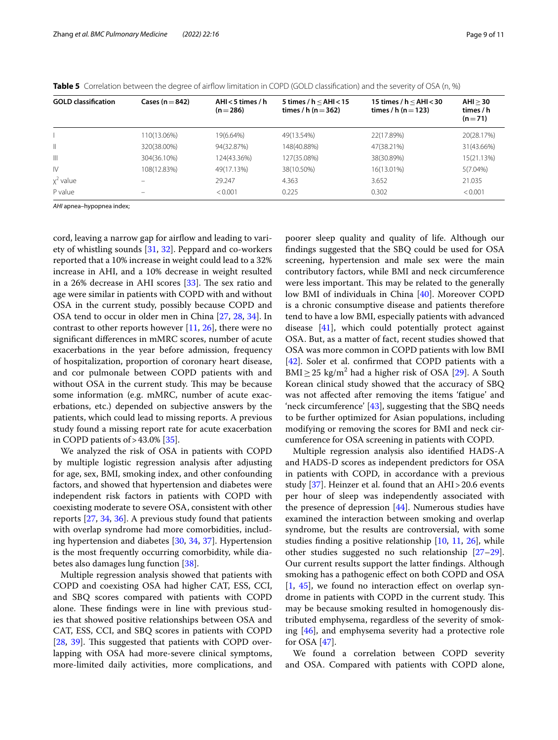| <b>GOLD</b> classification | Cases ( $n = 842$ ) | AHI $<$ 5 times / h<br>$(n=286)$ | 5 times / $h < AH < 15$<br>times / h (n $=$ 362) | 15 times / $h <$ AHI $<$ 30<br>times / h (n $=$ 123) | AHI > 30<br>times / h<br>$(n=71)$ |
|----------------------------|---------------------|----------------------------------|--------------------------------------------------|------------------------------------------------------|-----------------------------------|
|                            | 110(13.06%)         | 19(6.64%)                        | 49(13.54%)                                       | 22(17.89%)                                           | 20(28.17%)                        |
| $\mathbb{I}$               | 320(38.00%)         | 94(32.87%)                       | 148(40.88%)                                      | 47(38.21%)                                           | 31(43.66%)                        |
| $\mathbb{H}$               | 304(36.10%)         | 124(43.36%)                      | 127(35.08%)                                      | 38(30.89%)                                           | 15(21.13%)                        |
| IV                         | 108(12.83%)         | 49(17.13%)                       | 38(10.50%)                                       | 16(13.01%)                                           | 5(7.04%)                          |
| $x^2$ value                |                     | 29.247                           | 4.363                                            | 3.652                                                | 21.035                            |
| P value                    | -                   | < 0.001                          | 0.225                                            | 0.302                                                | < 0.001                           |

<span id="page-8-0"></span>**Table 5** Correlation between the degree of airflow limitation in COPD (GOLD classification) and the severity of OSA (n, %)

*AHI* apnea–hypopnea index;

cord, leaving a narrow gap for airfow and leading to variety of whistling sounds [\[31](#page-10-27), [32](#page-10-28)]. Peppard and co-workers reported that a 10% increase in weight could lead to a 32% increase in AHI, and a 10% decrease in weight resulted in a 26% decrease in AHI scores  $[33]$  $[33]$ . The sex ratio and age were similar in patients with COPD with and without OSA in the current study, possibly because COPD and OSA tend to occur in older men in China [\[27](#page-10-23), [28,](#page-10-24) [34\]](#page-10-30). In contrast to other reports however [\[11](#page-10-7), [26\]](#page-10-22), there were no signifcant diferences in mMRC scores, number of acute exacerbations in the year before admission, frequency of hospitalization, proportion of coronary heart disease, and cor pulmonale between COPD patients with and without OSA in the current study. This may be because some information (e.g. mMRC, number of acute exacerbations, etc.) depended on subjective answers by the patients, which could lead to missing reports. A previous study found a missing report rate for acute exacerbation in COPD patients of  $>43.0\%$  [[35\]](#page-10-31).

We analyzed the risk of OSA in patients with COPD by multiple logistic regression analysis after adjusting for age, sex, BMI, smoking index, and other confounding factors, and showed that hypertension and diabetes were independent risk factors in patients with COPD with coexisting moderate to severe OSA, consistent with other reports [\[27](#page-10-23), [34](#page-10-30), [36\]](#page-10-32). A previous study found that patients with overlap syndrome had more comorbidities, including hypertension and diabetes [[30,](#page-10-26) [34](#page-10-30), [37](#page-10-33)]. Hypertension is the most frequently occurring comorbidity, while diabetes also damages lung function [\[38\]](#page-10-34).

Multiple regression analysis showed that patients with COPD and coexisting OSA had higher CAT, ESS, CCI, and SBQ scores compared with patients with COPD alone. These findings were in line with previous studies that showed positive relationships between OSA and CAT, ESS, CCI, and SBQ scores in patients with COPD [[28,](#page-10-24) [39\]](#page-10-35). This suggested that patients with COPD overlapping with OSA had more-severe clinical symptoms, more-limited daily activities, more complications, and poorer sleep quality and quality of life. Although our fndings suggested that the SBQ could be used for OSA screening, hypertension and male sex were the main contributory factors, while BMI and neck circumference were less important. This may be related to the generally low BMI of individuals in China [\[40](#page-10-36)]. Moreover COPD is a chronic consumptive disease and patients therefore tend to have a low BMI, especially patients with advanced disease [\[41](#page-10-37)], which could potentially protect against OSA. But, as a matter of fact, recent studies showed that OSA was more common in COPD patients with low BMI [[42\]](#page-10-38). Soler et al. confirmed that COPD patients with a  $\text{BMI} \geq 25 \text{ kg/m}^2$  had a higher risk of OSA [[29\]](#page-10-25). A South Korean clinical study showed that the accuracy of SBQ was not afected after removing the items 'fatigue' and 'neck circumference' [\[43\]](#page-10-39), suggesting that the SBQ needs to be further optimized for Asian populations, including modifying or removing the scores for BMI and neck circumference for OSA screening in patients with COPD.

Multiple regression analysis also identifed HADS-A and HADS-D scores as independent predictors for OSA in patients with COPD, in accordance with a previous study  $[37]$  $[37]$ . Heinzer et al. found that an AHI > 20.6 events per hour of sleep was independently associated with the presence of depression  $[44]$  $[44]$  $[44]$ . Numerous studies have examined the interaction between smoking and overlap syndrome, but the results are controversial, with some studies fnding a positive relationship [\[10,](#page-10-6) [11](#page-10-7), [26\]](#page-10-22), while other studies suggested no such relationship [[27](#page-10-23)[–29](#page-10-25)]. Our current results support the latter fndings. Although smoking has a pathogenic efect on both COPD and OSA  $[1, 45]$  $[1, 45]$  $[1, 45]$  $[1, 45]$ , we found no interaction effect on overlap syndrome in patients with COPD in the current study. This may be because smoking resulted in homogenously distributed emphysema, regardless of the severity of smoking [\[46](#page-10-42)], and emphysema severity had a protective role for OSA [\[47\]](#page-10-43).

We found a correlation between COPD severity and OSA. Compared with patients with COPD alone,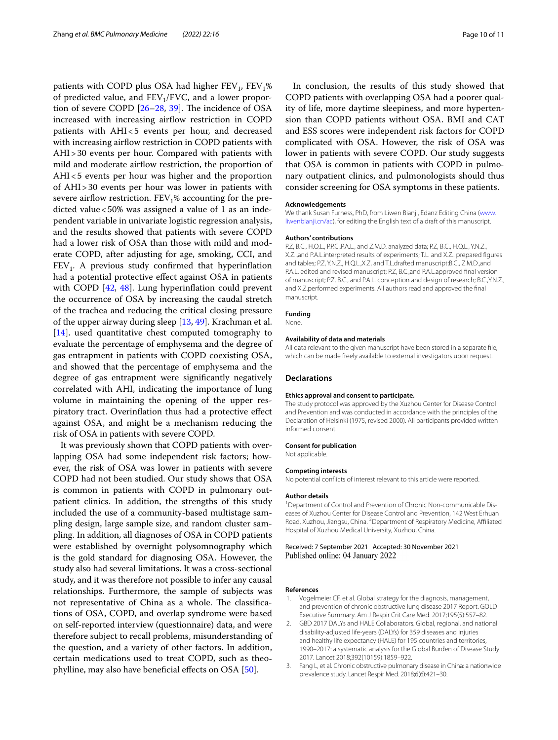patients with COPD plus OSA had higher  $FEV_1$ ,  $FEV_1$ % of predicted value, and  $FEV<sub>1</sub>/FVC$ , and a lower proportion of severe COPD  $[26-28, 39]$  $[26-28, 39]$  $[26-28, 39]$  $[26-28, 39]$  $[26-28, 39]$ . The incidence of OSA increased with increasing airflow restriction in COPD patients with AHI<5 events per hour, and decreased with increasing airflow restriction in COPD patients with AHI>30 events per hour. Compared with patients with mild and moderate airflow restriction, the proportion of AHI<5 events per hour was higher and the proportion of AHI>30 events per hour was lower in patients with severe airflow restriction.  $FEV<sub>1</sub>%$  accounting for the predicted value<50% was assigned a value of 1 as an independent variable in univariate logistic regression analysis, and the results showed that patients with severe COPD had a lower risk of OSA than those with mild and moderate COPD, after adjusting for age, smoking, CCI, and  $FEV<sub>1</sub>$ . A previous study confirmed that hyperinflation had a potential protective efect against OSA in patients with COPD [[42](#page-10-38), [48](#page-10-44)]. Lung hyperinflation could prevent the occurrence of OSA by increasing the caudal stretch of the trachea and reducing the critical closing pressure of the upper airway during sleep [\[13,](#page-10-9) [49](#page-10-45)]. Krachman et al. [[14\]](#page-10-10). used quantitative chest computed tomography to evaluate the percentage of emphysema and the degree of gas entrapment in patients with COPD coexisting OSA, and showed that the percentage of emphysema and the degree of gas entrapment were signifcantly negatively correlated with AHI, indicating the importance of lung volume in maintaining the opening of the upper respiratory tract. Overinfation thus had a protective efect against OSA, and might be a mechanism reducing the risk of OSA in patients with severe COPD.

It was previously shown that COPD patients with overlapping OSA had some independent risk factors; however, the risk of OSA was lower in patients with severe COPD had not been studied. Our study shows that OSA is common in patients with COPD in pulmonary outpatient clinics. In addition, the strengths of this study included the use of a community-based multistage sampling design, large sample size, and random cluster sampling. In addition, all diagnoses of OSA in COPD patients were established by overnight polysomnography which is the gold standard for diagnosing OSA. However, the study also had several limitations. It was a cross-sectional study, and it was therefore not possible to infer any causal relationships. Furthermore, the sample of subjects was not representative of China as a whole. The classifications of OSA, COPD, and overlap syndrome were based on self-reported interview (questionnaire) data, and were therefore subject to recall problems, misunderstanding of the question, and a variety of other factors. In addition, certain medications used to treat COPD, such as theophylline, may also have benefcial efects on OSA [\[50\]](#page-10-46).

In conclusion, the results of this study showed that COPD patients with overlapping OSA had a poorer quality of life, more daytime sleepiness, and more hypertension than COPD patients without OSA. BMI and CAT and ESS scores were independent risk factors for COPD complicated with OSA. However, the risk of OSA was lower in patients with severe COPD. Our study suggests that OSA is common in patients with COPD in pulmonary outpatient clinics, and pulmonologists should thus consider screening for OSA symptoms in these patients.

#### **Acknowledgements**

We thank Susan Furness, PhD, from Liwen Bianji, Edanz Editing China [\(www.](http://www.liwenbianji.cn/ac) [liwenbianji.cn/ac](http://www.liwenbianji.cn/ac)), for editing the English text of a draft of this manuscript.

#### **Authors' contributions**

P.Z, B.C., H.Q.L., P.P.C., P.A.L., and Z.M.D. analyzed data; P.Z, B.C., H.Q.L., Y.N.Z., X.Z..,and P.A.L.interpreted results of experiments; T.L. and X.Z.. prepared fgures and tables; P.Z, Y.N.Z., H.Q.L.,X.Z, and T.L.drafted manuscript;B.C., Z.M.D.,and P.A.L. edited and revised manuscript; P.Z, B.C.,and P.A.L.approved fnal version of manuscript; P.Z, B.C., and P.A.L. conception and design of research; B.C.,Y.N.Z., and X.Z.performed experiments. All authors read and approved the fnal manuscript.

#### **Funding**

None.

#### **Availability of data and materials**

All data relevant to the given manuscript have been stored in a separate fle, which can be made freely available to external investigators upon request.

#### **Declarations**

#### **Ethics approval and consent to participate.**

The study protocol was approved by the Xuzhou Center for Disease Control and Prevention and was conducted in accordance with the principles of the Declaration of Helsinki (1975, revised 2000). All participants provided written informed consent.

#### **Consent for publication**

Not applicable.

#### **Competing interests**

No potential conficts of interest relevant to this article were reported.

#### **Author details**

<sup>1</sup> Department of Control and Prevention of Chronic Non-communicable Diseases of Xuzhou Center for Disease Control and Prevention, 142 West Erhuan Road, Xuzhou, Jiangsu, China. <sup>2</sup> Department of Respiratory Medicine, Affiliated Hospital of Xuzhou Medical University, Xuzhou, China.

Received: 7 September 2021 Accepted: 30 November 2021 Published online: 04 January 2022

#### **References**

- <span id="page-9-0"></span>1. Vogelmeier CF, et al. Global strategy for the diagnosis, management, and prevention of chronic obstructive lung disease 2017 Report. GOLD Executive Summary. Am J Respir Crit Care Med. 2017;195(5):557–82.
- <span id="page-9-1"></span>2. GBD 2017 DALYs and HALE Collaborators. Global, regional, and national disability-adjusted life-years (DALYs) for 359 diseases and injuries and healthy life expectancy (HALE) for 195 countries and territories, 1990–2017: a systematic analysis for the Global Burden of Disease Study 2017. Lancet 2018;392(10159):1859–922.
- <span id="page-9-2"></span>3. Fang L, et al. Chronic obstructive pulmonary disease in China: a nationwide prevalence study. Lancet Respir Med. 2018;6(6):421–30.